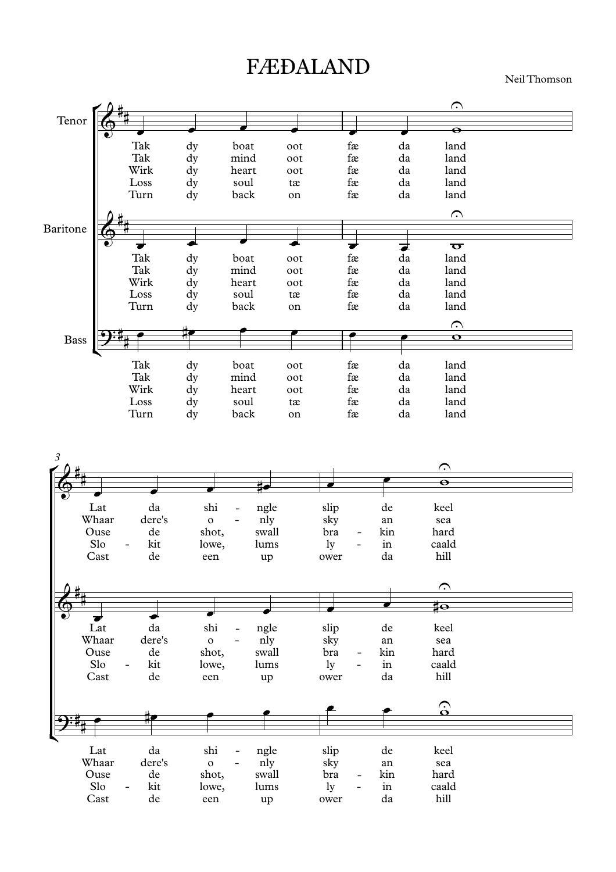## FÆĐALAND

Neil Thomson